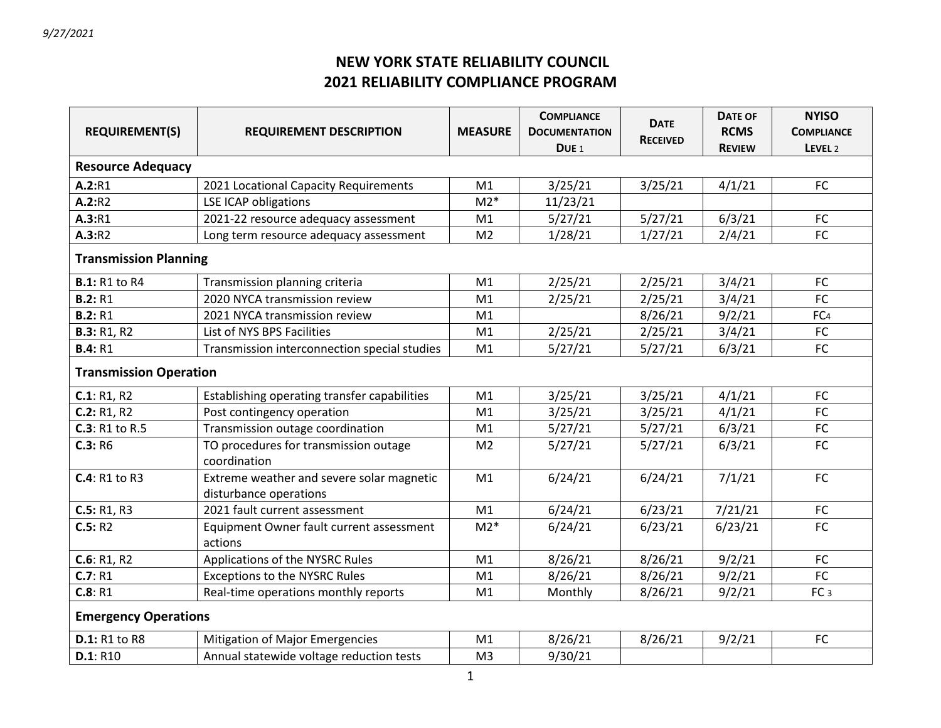## **NEW YORK STATE RELIABILITY COUNCIL 2021 RELIABILITY COMPLIANCE PROGRAM**

|                               |                                                       | <b>MEASURE</b> | <b>COMPLIANCE</b>    | <b>DATE</b>     | <b>DATE OF</b> | <b>NYISO</b>       |  |  |
|-------------------------------|-------------------------------------------------------|----------------|----------------------|-----------------|----------------|--------------------|--|--|
| <b>REQUIREMENT(S)</b>         | <b>REQUIREMENT DESCRIPTION</b>                        |                | <b>DOCUMENTATION</b> | <b>RECEIVED</b> | <b>RCMS</b>    | <b>COMPLIANCE</b>  |  |  |
|                               |                                                       |                | DUE <sub>1</sub>     |                 | <b>REVIEW</b>  | LEVEL <sub>2</sub> |  |  |
| <b>Resource Adequacy</b>      |                                                       |                |                      |                 |                |                    |  |  |
| A.2:R1                        | 2021 Locational Capacity Requirements                 | M1             | 3/25/21              | 3/25/21         | 4/1/21         | <b>FC</b>          |  |  |
| A.2:R2                        | <b>LSE ICAP obligations</b>                           | $M2*$          | 11/23/21             |                 |                |                    |  |  |
| A.3:R1                        | 2021-22 resource adequacy assessment                  | M1             | 5/27/21              | 5/27/21         | 6/3/21         | FC                 |  |  |
| A.3:R2                        | Long term resource adequacy assessment                | M <sub>2</sub> | 1/28/21              | 1/27/21         | 2/4/21         | FC                 |  |  |
| <b>Transmission Planning</b>  |                                                       |                |                      |                 |                |                    |  |  |
| <b>B.1: R1 to R4</b>          | Transmission planning criteria                        | M1             | 2/25/21              | 2/25/21         | 3/4/21         | <b>FC</b>          |  |  |
| <b>B.2: R1</b>                | 2020 NYCA transmission review                         | M1             | 2/25/21              | 2/25/21         | 3/4/21         | FC                 |  |  |
| <b>B.2: R1</b>                | 2021 NYCA transmission review                         | M1             |                      | 8/26/21         | 9/2/21         | FC <sub>4</sub>    |  |  |
| <b>B.3: R1, R2</b>            | List of NYS BPS Facilities                            | M1             | 2/25/21              | 2/25/21         | 3/4/21         | FC                 |  |  |
| <b>B.4: R1</b>                | Transmission interconnection special studies          | M1             | 5/27/21              | 5/27/21         | 6/3/21         | FC                 |  |  |
| <b>Transmission Operation</b> |                                                       |                |                      |                 |                |                    |  |  |
| C.1: R1, R2                   | Establishing operating transfer capabilities          | M1             | 3/25/21              | 3/25/21         | 4/1/21         | <b>FC</b>          |  |  |
| C.2: R1, R2                   | Post contingency operation                            | M1             | 3/25/21              | 3/25/21         | 4/1/21         | FC                 |  |  |
| <b>C.3</b> : R1 to R.5        | Transmission outage coordination                      | M1             | 5/27/21              | 5/27/21         | 6/3/21         | FC                 |  |  |
| C.3: R6                       | TO procedures for transmission outage<br>coordination | M <sub>2</sub> | 5/27/21              | 5/27/21         | 6/3/21         | FC                 |  |  |
| C.4: R1 to R3                 | Extreme weather and severe solar magnetic             |                | 6/24/21              | 6/24/21         | 7/1/21         | FC                 |  |  |
|                               | disturbance operations                                |                |                      |                 |                |                    |  |  |
| C.5: R1, R3                   | 2021 fault current assessment                         | M1             | 6/24/21              | 6/23/21         | 7/21/21        | FC                 |  |  |
| C.5: R2                       | Equipment Owner fault current assessment<br>actions   | $M2*$          | 6/24/21              | 6/23/21         | 6/23/21        | FC                 |  |  |
| C.6: R1, R2                   | Applications of the NYSRC Rules                       | M1             | 8/26/21              | 8/26/21         | 9/2/21         | <b>FC</b>          |  |  |
| C.7: R1                       | <b>Exceptions to the NYSRC Rules</b>                  | M1             | 8/26/21              | 8/26/21         | 9/2/21         | FC                 |  |  |
| C.8: R1                       | Real-time operations monthly reports                  | M1             | Monthly              | 8/26/21         | 9/2/21         | FC <sub>3</sub>    |  |  |
| <b>Emergency Operations</b>   |                                                       |                |                      |                 |                |                    |  |  |
| <b>D.1: R1 to R8</b>          | Mitigation of Major Emergencies                       | M1             | 8/26/21              | 8/26/21         | 9/2/21         | FC                 |  |  |
| D.1: R10                      | Annual statewide voltage reduction tests              | M <sub>3</sub> | 9/30/21              |                 |                |                    |  |  |
|                               |                                                       |                |                      |                 |                |                    |  |  |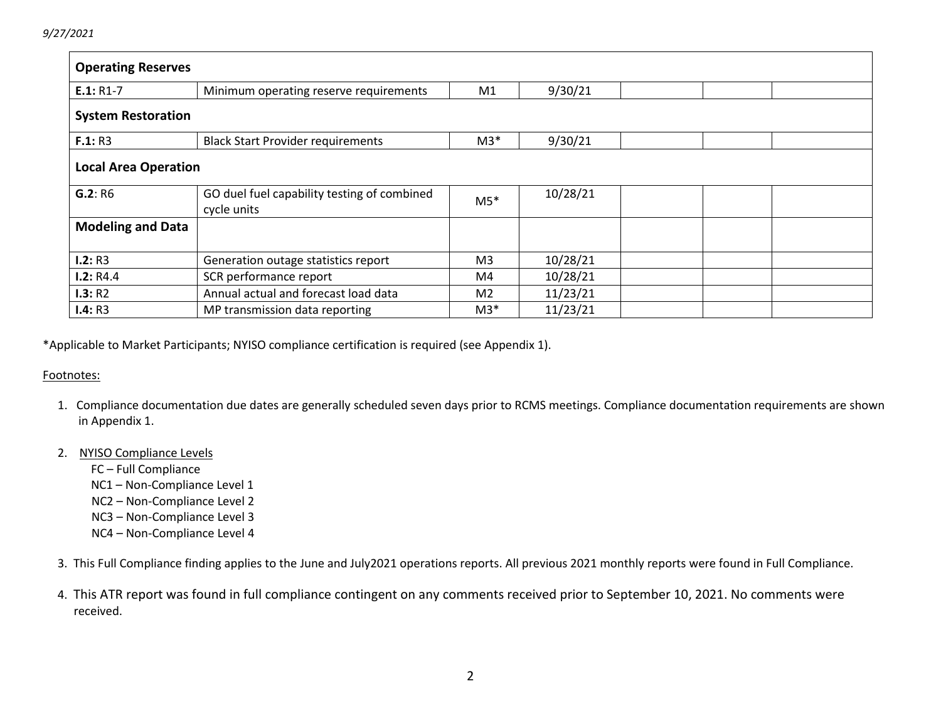| <b>Operating Reserves</b>                                               |                                                                                 |                   |          |  |  |  |
|-------------------------------------------------------------------------|---------------------------------------------------------------------------------|-------------------|----------|--|--|--|
| $E.1: R1-7$                                                             | Minimum operating reserve requirements                                          | M1                | 9/30/21  |  |  |  |
| <b>System Restoration</b>                                               |                                                                                 |                   |          |  |  |  |
| 9/30/21<br>$M3*$<br>F.1: R3<br><b>Black Start Provider requirements</b> |                                                                                 |                   |          |  |  |  |
| <b>Local Area Operation</b>                                             |                                                                                 |                   |          |  |  |  |
| G.2: R6                                                                 | 10/28/21<br>GO duel fuel capability testing of combined<br>$M5*$<br>cycle units |                   |          |  |  |  |
| <b>Modeling and Data</b>                                                |                                                                                 |                   |          |  |  |  |
| I.2: R3                                                                 | Generation outage statistics report                                             | M <sub>3</sub>    | 10/28/21 |  |  |  |
| 1.2:RA.4                                                                | SCR performance report                                                          | M4                | 10/28/21 |  |  |  |
| I.3: R2                                                                 | Annual actual and forecast load data                                            | M <sub>2</sub>    | 11/23/21 |  |  |  |
| I.4: R3                                                                 | MP transmission data reporting                                                  | 11/23/21<br>$M3*$ |          |  |  |  |

\*Applicable to Market Participants; NYISO compliance certification is required (see Appendix 1).

#### Footnotes:

 1. Compliance documentation due dates are generally scheduled seven days prior to RCMS meetings. Compliance documentation requirements are shown in Appendix 1.

#### 2. NYISO Compliance Levels

FC – Full Compliance

- NC1 Non-Compliance Level 1
- NC2 Non-Compliance Level 2
- NC3 Non-Compliance Level 3
- NC4 Non-Compliance Level 4

3. This Full Compliance finding applies to the June and July2021 operations reports. All previous 2021 monthly reports were found in Full Compliance.

 4. This ATR report was found in full compliance contingent on any comments received prior to September 10, 2021. No comments were received.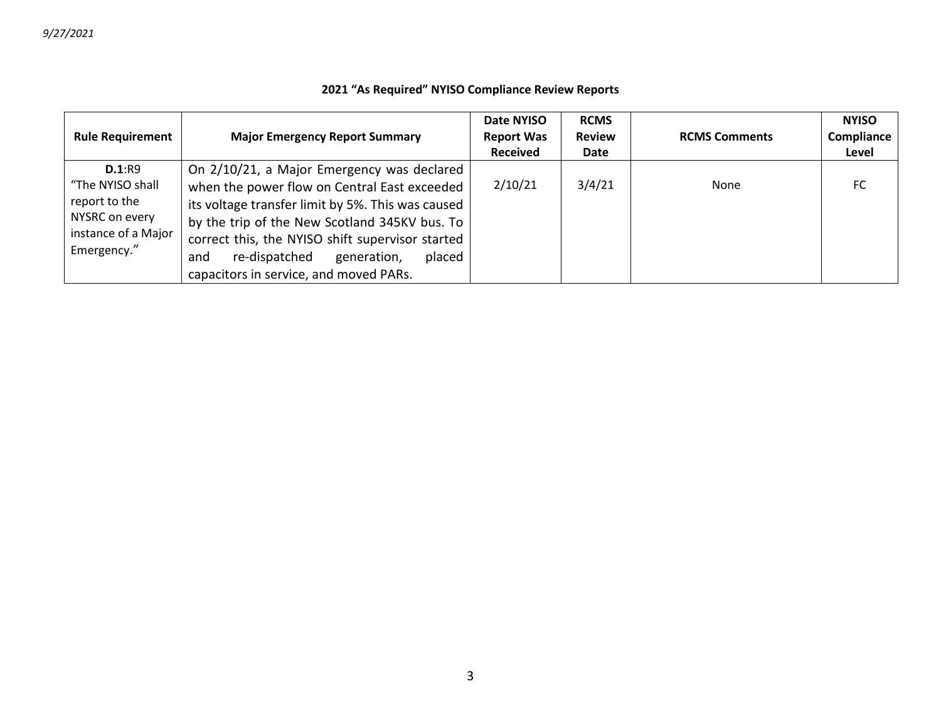### **2021 "As Required" NYISO Compliance Review Reports**

| <b>Rule Requirement</b>                                                                             | <b>Major Emergency Report Summary</b>                                                                                                                                                                                                                                                                                                           | Date NYISO<br><b>Report Was</b><br><b>Received</b> | <b>RCMS</b><br><b>Review</b><br>Date | <b>RCMS Comments</b> | <b>NYISO</b><br>Compliance<br>Level |
|-----------------------------------------------------------------------------------------------------|-------------------------------------------------------------------------------------------------------------------------------------------------------------------------------------------------------------------------------------------------------------------------------------------------------------------------------------------------|----------------------------------------------------|--------------------------------------|----------------------|-------------------------------------|
| D.1:R9<br>"The NYISO shall<br>report to the<br>NYSRC on every<br>instance of a Major<br>Emergency." | On 2/10/21, a Major Emergency was declared<br>when the power flow on Central East exceeded<br>its voltage transfer limit by 5%. This was caused<br>by the trip of the New Scotland 345KV bus. To<br>correct this, the NYISO shift supervisor started<br>re-dispatched<br>generation,<br>placed<br>and<br>capacitors in service, and moved PARs. | 2/10/21                                            | 3/4/21                               | None                 | FC                                  |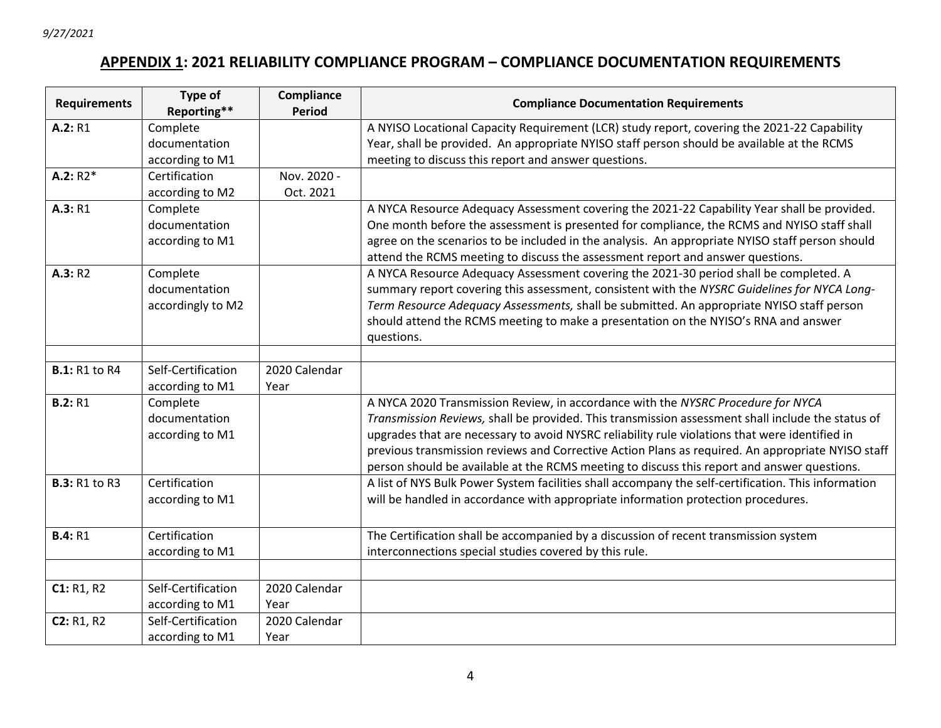# **APPENDIX 1: 2021 RELIABILITY COMPLIANCE PROGRAM – COMPLIANCE DOCUMENTATION REQUIREMENTS**

| <b>Requirements</b>  | Type of<br>Reporting**    | Compliance<br><b>Period</b> | <b>Compliance Documentation Requirements</b>                                                        |
|----------------------|---------------------------|-----------------------------|-----------------------------------------------------------------------------------------------------|
| A.2: R1              | Complete                  |                             | A NYISO Locational Capacity Requirement (LCR) study report, covering the 2021-22 Capability         |
|                      | documentation             |                             | Year, shall be provided. An appropriate NYISO staff person should be available at the RCMS          |
|                      | according to M1           |                             | meeting to discuss this report and answer questions.                                                |
| $A.2: R2*$           | Certification             | Nov. 2020 -                 |                                                                                                     |
|                      | according to M2           | Oct. 2021                   |                                                                                                     |
| A.3: R1              |                           |                             | A NYCA Resource Adequacy Assessment covering the 2021-22 Capability Year shall be provided.         |
|                      | Complete<br>documentation |                             |                                                                                                     |
|                      |                           |                             | One month before the assessment is presented for compliance, the RCMS and NYISO staff shall         |
|                      | according to M1           |                             | agree on the scenarios to be included in the analysis. An appropriate NYISO staff person should     |
|                      |                           |                             | attend the RCMS meeting to discuss the assessment report and answer questions.                      |
| A.3: R2              | Complete                  |                             | A NYCA Resource Adequacy Assessment covering the 2021-30 period shall be completed. A               |
|                      | documentation             |                             | summary report covering this assessment, consistent with the NYSRC Guidelines for NYCA Long-        |
|                      | accordingly to M2         |                             | Term Resource Adequacy Assessments, shall be submitted. An appropriate NYISO staff person           |
|                      |                           |                             | should attend the RCMS meeting to make a presentation on the NYISO's RNA and answer                 |
|                      |                           |                             | questions.                                                                                          |
|                      |                           |                             |                                                                                                     |
| <b>B.1: R1 to R4</b> | Self-Certification        | 2020 Calendar               |                                                                                                     |
|                      | according to M1           | Year                        |                                                                                                     |
| <b>B.2: R1</b>       | Complete                  |                             | A NYCA 2020 Transmission Review, in accordance with the NYSRC Procedure for NYCA                    |
|                      | documentation             |                             | Transmission Reviews, shall be provided. This transmission assessment shall include the status of   |
|                      | according to M1           |                             | upgrades that are necessary to avoid NYSRC reliability rule violations that were identified in      |
|                      |                           |                             | previous transmission reviews and Corrective Action Plans as required. An appropriate NYISO staff   |
|                      |                           |                             | person should be available at the RCMS meeting to discuss this report and answer questions.         |
| <b>B.3: R1 to R3</b> | Certification             |                             | A list of NYS Bulk Power System facilities shall accompany the self-certification. This information |
|                      | according to M1           |                             | will be handled in accordance with appropriate information protection procedures.                   |
|                      |                           |                             |                                                                                                     |
| <b>B.4: R1</b>       | Certification             |                             | The Certification shall be accompanied by a discussion of recent transmission system                |
|                      | according to M1           |                             | interconnections special studies covered by this rule.                                              |
|                      |                           |                             |                                                                                                     |
| C1: R1, R2           | Self-Certification        | 2020 Calendar               |                                                                                                     |
|                      | according to M1           | Year                        |                                                                                                     |
| C2: R1, R2           | Self-Certification        | 2020 Calendar               |                                                                                                     |
|                      | according to M1           | Year                        |                                                                                                     |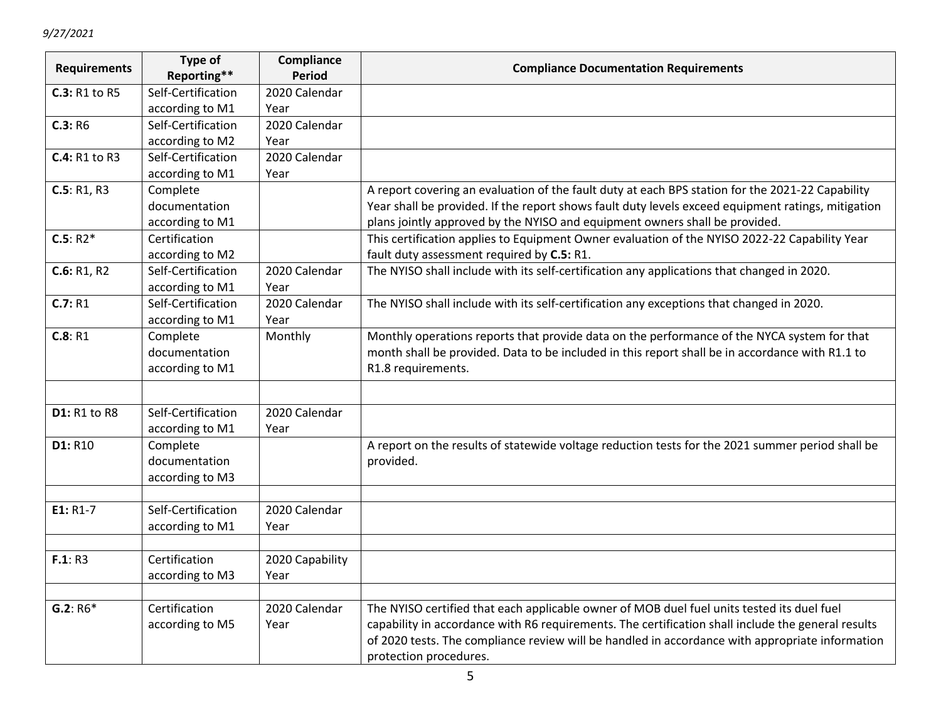| <b>Requirements</b>  | Type of<br>Reporting** | Compliance<br><b>Period</b> | <b>Compliance Documentation Requirements</b>                                                       |
|----------------------|------------------------|-----------------------------|----------------------------------------------------------------------------------------------------|
| <b>C.3: R1 to R5</b> | Self-Certification     | 2020 Calendar               |                                                                                                    |
|                      | according to M1        | Year                        |                                                                                                    |
| C.3: R6              | Self-Certification     | 2020 Calendar               |                                                                                                    |
|                      | according to M2        | Year                        |                                                                                                    |
| C.4: R1 to R3        | Self-Certification     | 2020 Calendar               |                                                                                                    |
|                      | according to M1        | Year                        |                                                                                                    |
| C.5: R1, R3          | Complete               |                             | A report covering an evaluation of the fault duty at each BPS station for the 2021-22 Capability   |
|                      | documentation          |                             | Year shall be provided. If the report shows fault duty levels exceed equipment ratings, mitigation |
|                      | according to M1        |                             | plans jointly approved by the NYISO and equipment owners shall be provided.                        |
| $C.5: R2*$           | Certification          |                             | This certification applies to Equipment Owner evaluation of the NYISO 2022-22 Capability Year      |
|                      | according to M2        |                             | fault duty assessment required by C.5: R1.                                                         |
| C.6: R1, R2          | Self-Certification     | 2020 Calendar               | The NYISO shall include with its self-certification any applications that changed in 2020.         |
|                      | according to M1        | Year                        |                                                                                                    |
| C.7: R1              | Self-Certification     | 2020 Calendar               | The NYISO shall include with its self-certification any exceptions that changed in 2020.           |
|                      | according to M1        | Year                        |                                                                                                    |
| C.8: R1              | Complete               | Monthly                     | Monthly operations reports that provide data on the performance of the NYCA system for that        |
|                      | documentation          |                             | month shall be provided. Data to be included in this report shall be in accordance with R1.1 to    |
|                      | according to M1        |                             | R1.8 requirements.                                                                                 |
|                      |                        |                             |                                                                                                    |
| <b>D1: R1 to R8</b>  | Self-Certification     | 2020 Calendar               |                                                                                                    |
|                      | according to M1        | Year                        |                                                                                                    |
| D1: R10              | Complete               |                             | A report on the results of statewide voltage reduction tests for the 2021 summer period shall be   |
|                      | documentation          |                             | provided.                                                                                          |
|                      | according to M3        |                             |                                                                                                    |
|                      |                        |                             |                                                                                                    |
| E1: R1-7             | Self-Certification     | 2020 Calendar               |                                                                                                    |
|                      | according to M1        | Year                        |                                                                                                    |
|                      |                        |                             |                                                                                                    |
| F.1: R3              | Certification          | 2020 Capability             |                                                                                                    |
|                      | according to M3        | Year                        |                                                                                                    |
|                      |                        |                             |                                                                                                    |
| $G.2: R6*$           | Certification          | 2020 Calendar               | The NYISO certified that each applicable owner of MOB duel fuel units tested its duel fuel         |
|                      | according to M5        | Year                        | capability in accordance with R6 requirements. The certification shall include the general results |
|                      |                        |                             | of 2020 tests. The compliance review will be handled in accordance with appropriate information    |
|                      |                        |                             | protection procedures.                                                                             |